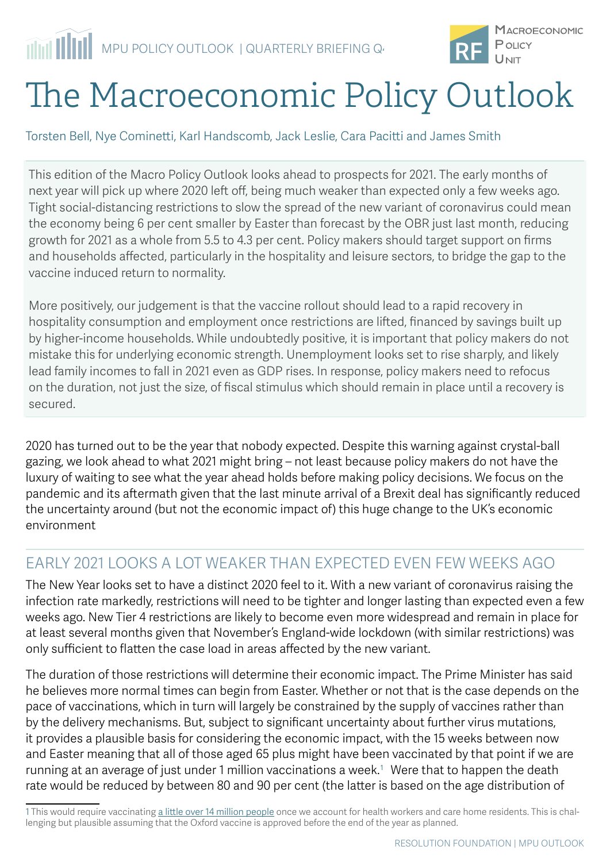

# The Macroeconomic Policy Outlook

Torsten Bell, Nye Cominetti, Karl Handscomb, Jack Leslie, Cara Pacitti and James Smith

This edition of the Macro Policy Outlook looks ahead to prospects for 2021. The early months of next year will pick up where 2020 left off, being much weaker than expected only a few weeks ago. Tight social-distancing restrictions to slow the spread of the new variant of coronavirus could mean the economy being 6 per cent smaller by Easter than forecast by the OBR just last month, reducing growth for 2021 as a whole from 5.5 to 4.3 per cent. Policy makers should target support on firms and households affected, particularly in the hospitality and leisure sectors, to bridge the gap to the vaccine induced return to normality.

More positively, our judgement is that the vaccine rollout should lead to a rapid recovery in hospitality consumption and employment once restrictions are lifted, financed by savings built up by higher-income households. While undoubtedly positive, it is important that policy makers do not mistake this for underlying economic strength. Unemployment looks set to rise sharply, and likely lead family incomes to fall in 2021 even as GDP rises. In response, policy makers need to refocus on the duration, not just the size, of fiscal stimulus which should remain in place until a recovery is secured.

2020 has turned out to be the year that nobody expected. Despite this warning against crystal-ball gazing, we look ahead to what 2021 might bring – not least because policy makers do not have the luxury of waiting to see what the year ahead holds before making policy decisions. We focus on the pandemic and its aftermath given that the last minute arrival of a Brexit deal has significantly reduced the uncertainty around (but not the economic impact of) this huge change to the UK's economic environment

## EARLY 2021 LOOKS A LOT WEAKER THAN EXPECTED EVEN FEW WEEKS AGO

The New Year looks set to have a distinct 2020 feel to it. With a new variant of coronavirus raising the infection rate markedly, restrictions will need to be tighter and longer lasting than expected even a few weeks ago. New Tier 4 restrictions are likely to become even more widespread and remain in place for at least several months given that November's England-wide lockdown (with similar restrictions) was only sufficient to flatten the case load in areas affected by the new variant.

The duration of those restrictions will determine their economic impact. [The Prime Minister has said](https://www.thesun.co.uk/news/13529097/tier-4-new-covid-strain-england/)  [he believes more normal times can begin from Easter.](https://www.thesun.co.uk/news/13529097/tier-4-new-covid-strain-england/) Whether or not that is the case depends on the pace of vaccinations, which in turn will largely be constrained by the supply of vaccines rather than by the delivery mechanisms. But, subject to significant uncertainty about further virus mutations, it provides a plausible basis for considering the economic impact, with the 15 weeks between now and Easter meaning that all of those aged 65 plus might have been vaccinated by that point if we are running at an average of just under 1 million vaccinations a week. $^{\rm 1}$  Were that to happen the death rate would be reduced by between 80 and 90 per cent (the latter is based on the age distribution of

<sup>1</sup> This would require vaccinating [a little over 14 million people](https://www.health.org.uk/publications/long-reads/the-covid-19-vaccine-who-gets-it-first) once we account for health workers and care home residents. This is challenging but plausible assuming that the Oxford vaccine is approved before the end of the year as planned.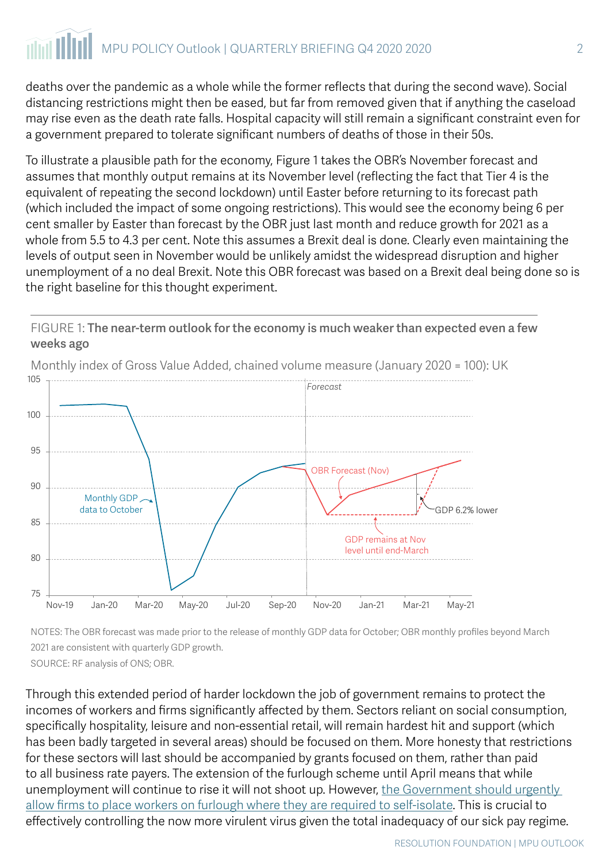## MPU POLICY Outlook | QUARTERLY BRIEFING Q4 2020 2020 2

deaths over the pandemic as a whole while the former reflects that during the second wave). Social distancing restrictions might then be eased, but far from removed given that if anything the caseload may rise even as the death rate falls. Hospital capacity will still remain a significant constraint even for a government prepared to tolerate significant numbers of deaths of those in their 50s.

To illustrate a plausible path for the economy, Figure 1 takes the OBR's November forecast and assumes that monthly output remains at its November level (reflecting the fact that Tier 4 is the equivalent of repeating the second lockdown) until Easter before returning to its forecast path (which included the impact of some ongoing restrictions). This would see the economy being 6 per cent smaller by Easter than forecast by the OBR just last month and reduce growth for 2021 as a whole from 5.5 to 4.3 per cent. Note this assumes a Brexit deal is done. Clearly even maintaining the levels of output seen in November would be unlikely amidst the widespread disruption and higher unemployment of a no deal Brexit. Note this OBR forecast was based on a Brexit deal being done so is the right baseline for this thought experiment.



FIGURE 1: The near-term outlook for the economy is much weaker than expected even a few weeks ago

NOTES: The OBR forecast was made prior to the release of monthly GDP data for October; OBR monthly profiles beyond March 2021 are consistent with quarterly GDP growth. SOURCE: RF analysis of ONS; OBR.

Through this extended period of harder lockdown the job of government remains to protect the incomes of workers and firms significantly affected by them. Sectors reliant on social consumption, specifically hospitality, leisure and non-essential retail, will remain hardest hit and support (which has been badly targeted in several areas) should be focused on them. More honesty that restrictions for these sectors will last should be accompanied by grants focused on them, rather than paid to all business rate payers. The extension of the furlough scheme until April means that while unemployment will continue to rise it will not shoot up. However, [the Government should urgently](https://www.resolutionfoundation.org/publications/time-out/)  [allow firms to place workers on furlough where they are required to self-isolate.](https://www.resolutionfoundation.org/publications/time-out/) This is crucial to effectively controlling the now more virulent virus given the total inadequacy of our sick pay regime.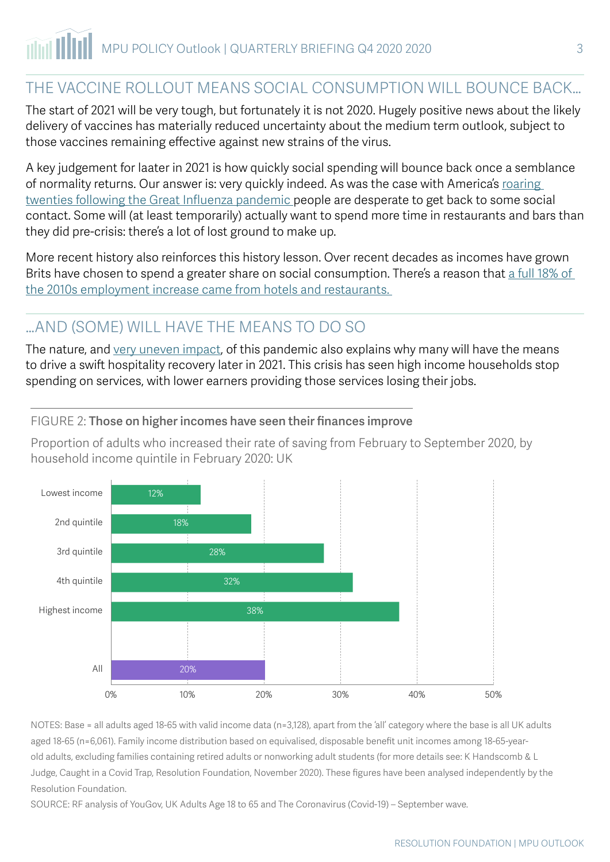## THE VACCINE ROLLOUT MEANS SOCIAL CONSUMPTION WILL BOUNCE BACK…

The start of 2021 will be very tough, but fortunately it is not 2020. Hugely positive news about the likely delivery of vaccines has materially reduced uncertainty about the medium term outlook, subject to those vaccines remaining effective against new strains of the virus.

A key judgement for laater in 2021 is how quickly social spending will bounce back once a semblance of normality returns. Our answer is: very quickly indeed. As was the case with America's [roaring](https://www.thesun.co.uk/news/13311148/covid-recovery-savings-splurge/)  [twenties following the Great Influenza pandemic](https://www.thesun.co.uk/news/13311148/covid-recovery-savings-splurge/) people are desperate to get back to some social contact. Some will (at least temporarily) actually want to spend more time in restaurants and bars than they did pre-crisis: there's a lot of lost ground to make up.

More recent history also reinforces this history lesson. Over recent decades as incomes have grown Brits have chosen to spend a greater share on social consumption. There's a reason that a full 18% of [the 2010s employment increase came from hotels and restaurants.](https://www.resolutionfoundation.org/publications/setting-the-record-straight-how-record-employment-has-changed-the-uk/) 

## …AND (SOME) WILL HAVE THE MEANS TO DO SO

The nature, and [very uneven impact](https://www.resolutionfoundation.org/publications/return-to-spender/), of this pandemic also explains why many will have the means to drive a swift hospitality recovery later in 2021. This crisis has seen high income households stop spending on services, with lower earners providing those services losing their jobs.

#### FIGURE 2: Those on higher incomes have seen their finances improve

Proportion of adults who increased their rate of saving from February to September 2020, by household income quintile in February 2020: UK



NOTES: Base = all adults aged 18-65 with valid income data (n=3,128), apart from the 'all' category where the base is all UK adults aged 18-65 (n=6,061). Family income distribution based on equivalised, disposable benefit unit incomes among 18-65-yearold adults, excluding families containing retired adults or nonworking adult students (for more details see: K Handscomb & L Judge, Caught in a Covid Trap, Resolution Foundation, November 2020). These figures have been analysed independently by the Resolution Foundation.

SOURCE: RF analysis of YouGov, UK Adults Age 18 to 65 and The Coronavirus (Covid-19) – September wave.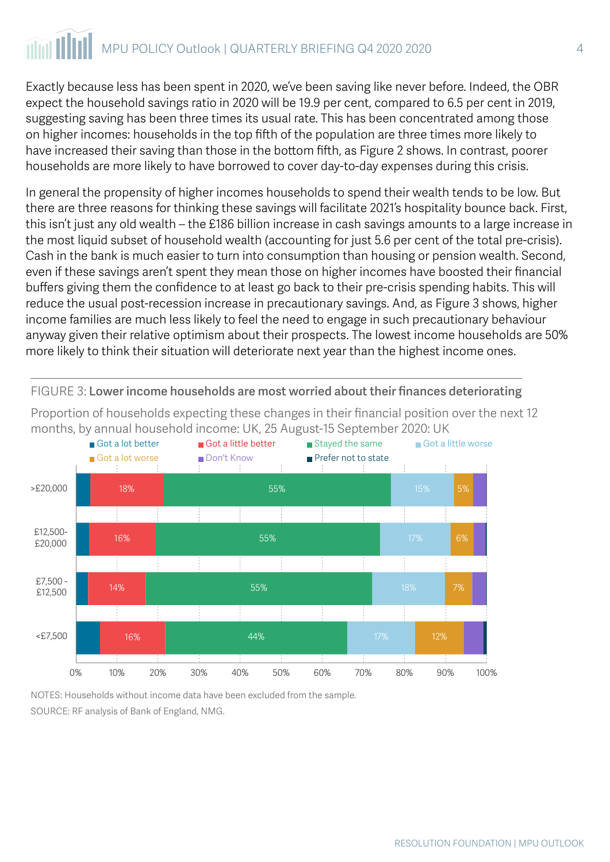## MPU POLICY Outlook | QUARTERLY BRIEFING Q4 2020 2020 4

Exactly because less has been spent in 2020, we've been saving like never before. Indeed, the OBR expect the household savings ratio in 2020 will be 19.9 per cent, compared to 6.5 per cent in 2019, suggesting saving has been three times its usual rate. This has been concentrated among those on higher incomes: households in the top fifth of the population are three times more likely to have increased their saving than those in the bottom fifth, as Figure 2 shows. In contrast, poorer households are more likely to have borrowed to cover day-to-day expenses during this crisis.

In general the propensity of higher incomes households to spend their wealth tends to be low. But there are three reasons for thinking these savings will facilitate 2021's hospitality bounce back. First, this isn't just any old wealth – the £186 billion increase in cash savings amounts to a large increase in the most liquid subset of household wealth (accounting for just 5.6 per cent of the total pre-crisis). Cash in the bank is much easier to turn into consumption than housing or pension wealth. Second, even if these savings aren't spent they mean those on higher incomes have boosted their financial buffers giving them the confidence to at least go back to their pre-crisis spending habits. This will reduce the usual post-recession increase in precautionary savings. And, as Figure 3 shows, higher income families are much less likely to feel the need to engage in such precautionary behaviour anyway given their relative optimism about their prospects. The lowest income households are 50% more likely to think their situation will deteriorate next year than the highest income ones.



FIGURE 3: Lower income households are most worried about their finances deteriorating

Proportion of households expecting these changes in their financial position over the next 12 months, by annual household income: UK, 25 August-15 September 2020: UK

NOTES: Households without income data have been excluded from the sample.

SOURCE: RF analysis of Bank of England, NMG.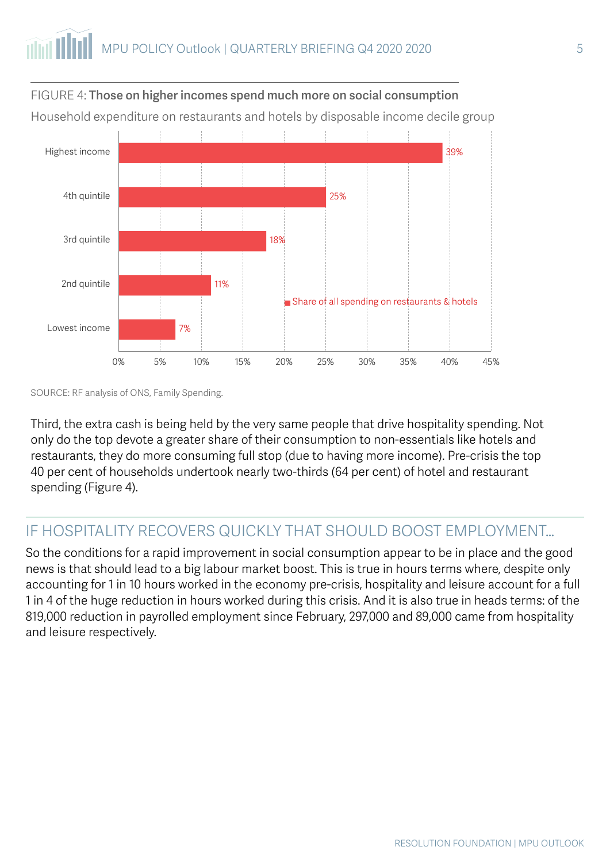

FIGURE 4: Those on higher incomes spend much more on social consumption

Household expenditure on restaurants and hotels by disposable income decile group

SOURCE: RF analysis of ONS, Family Spending.

Third, the extra cash is being held by the very same people that drive hospitality spending. Not only do the top devote a greater share of their consumption to non-essentials like hotels and restaurants, they do more consuming full stop (due to having more income). Pre-crisis the top 40 per cent of households undertook nearly two-thirds (64 per cent) of hotel and restaurant spending (Figure 4).

### IF HOSPITALITY RECOVERS QUICKLY THAT SHOULD BOOST EMPLOYMENT…

So the conditions for a rapid improvement in social consumption appear to be in place and the good news is that should lead to a big labour market boost. This is true in hours terms where, despite only accounting for 1 in 10 hours worked in the economy pre-crisis, hospitality and leisure account for a full 1 in 4 of the huge reduction in hours worked during this crisis. And it is also true in heads terms: of the 819,000 reduction in payrolled employment since February, 297,000 and 89,000 came from hospitality and leisure respectively.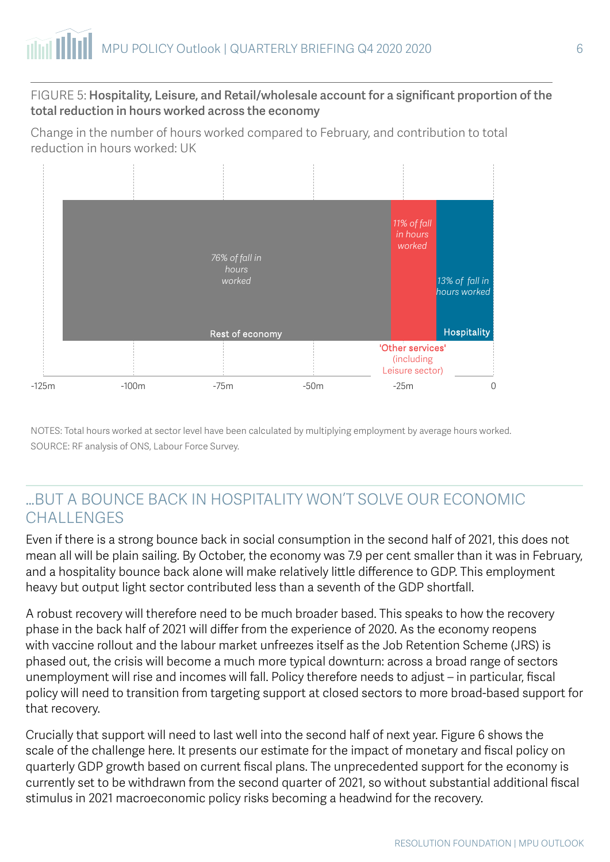#### FIGURE 5: Hospitality, Leisure, and Retail/wholesale account for a significant proportion of the total reduction in hours worked across the economy

Change in the number of hours worked compared to February, and contribution to total reduction in hours worked: UK



NOTES: Total hours worked at sector level have been calculated by multiplying employment by average hours worked. SOURCE: RF analysis of ONS, Labour Force Survey.

### …BUT A BOUNCE BACK IN HOSPITALITY WON'T SOLVE OUR ECONOMIC CHALLENGES

Even if there is a strong bounce back in social consumption in the second half of 2021, this does not mean all will be plain sailing. By October, the economy was 7.9 per cent smaller than it was in February, and a hospitality bounce back alone will make relatively little difference to GDP. This employment heavy but output light sector contributed less than a seventh of the GDP shortfall.

A robust recovery will therefore need to be much broader based. This speaks to how the recovery phase in the back half of 2021 will differ from the experience of 2020. As the economy reopens with vaccine rollout and the labour market unfreezes itself as the Job Retention Scheme (JRS) is phased out, the crisis will become a much more typical downturn: across a broad range of sectors unemployment will rise and incomes will fall. Policy therefore needs to adjust – in particular, fiscal policy will need to transition from targeting support at closed sectors to more broad-based support for that recovery.

Crucially that support will need to last well into the second half of next year. Figure 6 shows the scale of the challenge here. It presents our estimate for the impact of monetary and fiscal policy on quarterly GDP growth based on current fiscal plans. The unprecedented support for the economy is currently set to be withdrawn from the second quarter of 2021, so without substantial additional fiscal stimulus in 2021 macroeconomic policy risks becoming a headwind for the recovery.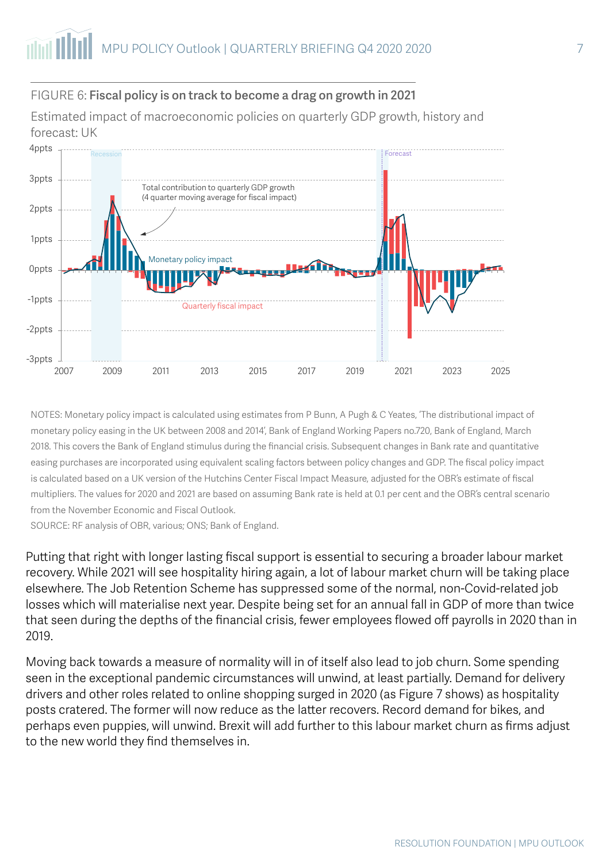#### FIGURE 6: Fiscal policy is on track to become a drag on growth in 2021

Estimated impact of macroeconomic policies on quarterly GDP growth, history and forecast: UK



NOTES: Monetary policy impact is calculated using estimates from P Bunn, A Pugh & C Yeates, 'The distributional impact of monetary policy easing in the UK between 2008 and 2014', Bank of England Working Papers no.720, Bank of England, March 2018. This covers the Bank of England stimulus during the financial crisis. Subsequent changes in Bank rate and quantitative easing purchases are incorporated using equivalent scaling factors between policy changes and GDP. The fiscal policy impact is calculated based on a UK version of the Hutchins Center Fiscal Impact Measure, adjusted for the OBR's estimate of fiscal multipliers. The values for 2020 and 2021 are based on assuming Bank rate is held at 0.1 per cent and the OBR's central scenario from the November Economic and Fiscal Outlook.

SOURCE: RF analysis of OBR, various; ONS; Bank of England.

Putting that right with longer lasting fiscal support is essential to securing a broader labour market recovery. While 2021 will see hospitality hiring again, a lot of labour market churn will be taking place elsewhere. The Job Retention Scheme has suppressed some of the normal, non-Covid-related job losses which will materialise next year. Despite being set for an annual fall in GDP of more than twice that seen during the depths of the financial crisis, fewer employees flowed off payrolls in 2020 than in 2019.

Moving back towards a measure of normality will in of itself also lead to job churn. Some spending seen in the exceptional pandemic circumstances will unwind, at least partially. Demand for delivery drivers and other roles related to online shopping surged in 2020 (as Figure 7 shows) as hospitality posts cratered. The former will now reduce as the latter recovers. Record demand for bikes, and perhaps even puppies, will unwind. Brexit will add further to this labour market churn as firms adjust to the new world they find themselves in.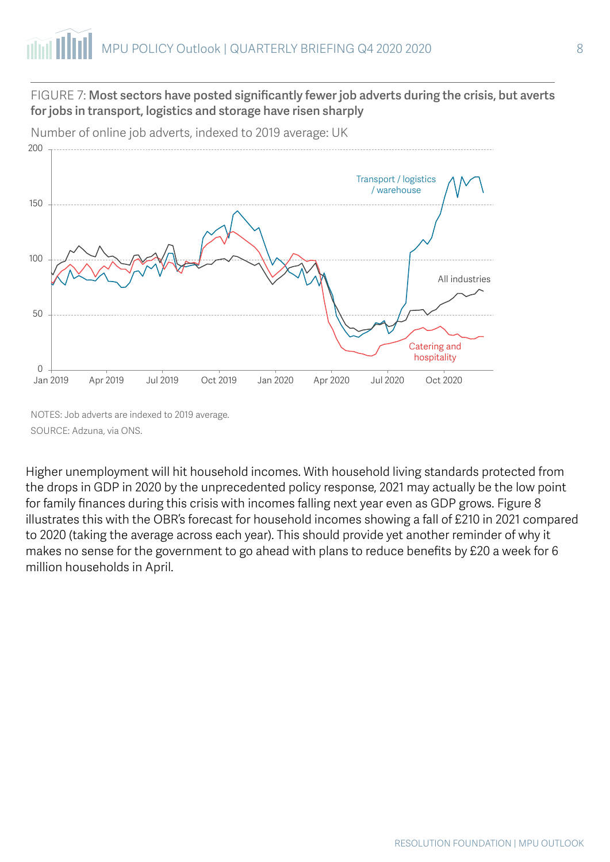#### FIGURE 7: Most sectors have posted significantly fewer job adverts during the crisis, but averts for jobs in transport, logistics and storage have risen sharply



Number of online job adverts, indexed to 2019 average: UK

NOTES: Job adverts are indexed to 2019 average. SOURCE: Adzuna, via ONS.

Higher unemployment will hit household incomes. With household living standards protected from the drops in GDP in 2020 by the unprecedented policy response, 2021 may actually be the low point for family finances during this crisis with incomes falling next year even as GDP grows. Figure 8 illustrates this with the OBR's forecast for household incomes showing a fall of £210 in 2021 compared to 2020 (taking the average across each year). This should provide yet another reminder of why it makes no sense for the government to go ahead with plans to reduce benefits by £20 a week for 6 million households in April.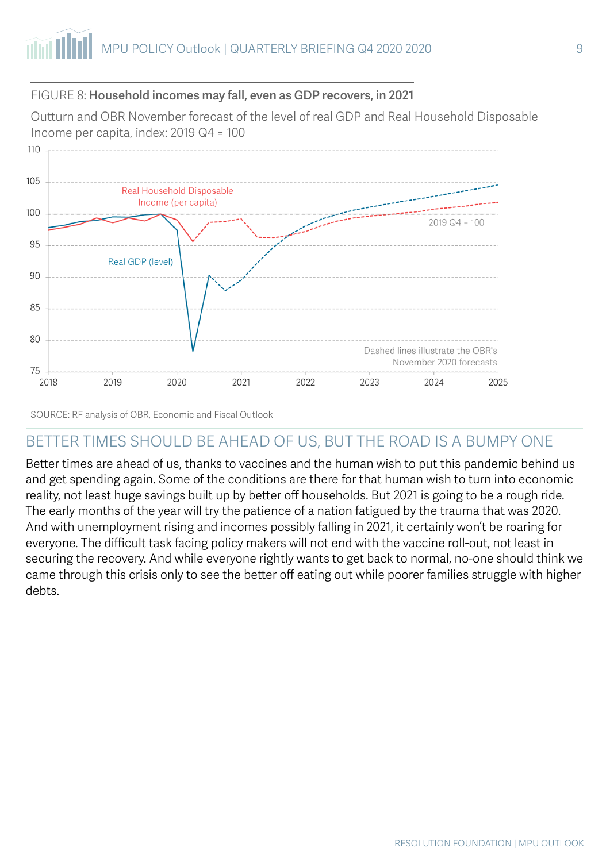#### FIGURE 8: Household incomes may fall, even as GDP recovers, in 2021

Outturn and OBR November forecast of the level of real GDP and Real Household Disposable Income per capita, index: 2019 Q4 = 100



SOURCE: RF analysis of OBR, Economic and Fiscal Outlook

## BETTER TIMES SHOULD BE AHEAD OF US, BUT THE ROAD IS A BUMPY ONE

Better times are ahead of us, thanks to vaccines and the human wish to put this pandemic behind us and get spending again. Some of the conditions are there for that human wish to turn into economic reality, not least huge savings built up by better off households. But 2021 is going to be a rough ride. The early months of the year will try the patience of a nation fatigued by the trauma that was 2020. And with unemployment rising and incomes possibly falling in 2021, it certainly won't be roaring for everyone. The difficult task facing policy makers will not end with the vaccine roll-out, not least in securing the recovery. And while everyone rightly wants to get back to normal, no-one should think we came through this crisis only to see the better off eating out while poorer families struggle with higher debts.